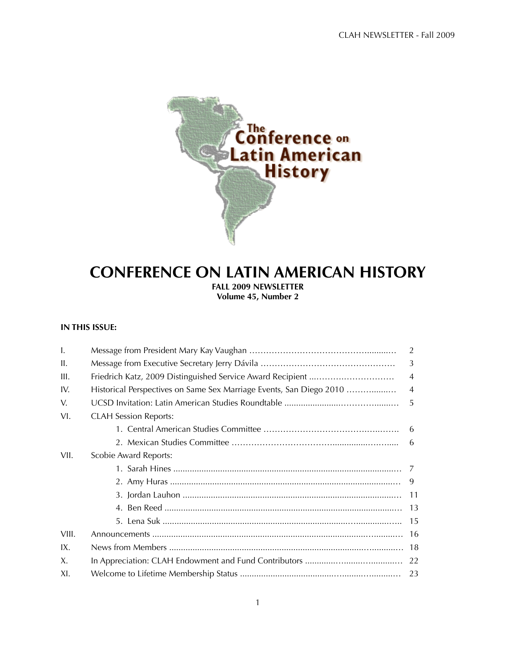

# **CONFERENCE ON LATIN AMERICAN HISTORY FALL 2009 NEWSLETTER**

**Volume 45, Number 2**

# **IN THIS ISSUE:**

| $\mathbf{I}$ . |                                                                     | 2              |
|----------------|---------------------------------------------------------------------|----------------|
| II.            |                                                                     | 3              |
| III.           |                                                                     | $\overline{4}$ |
| IV.            | Historical Perspectives on Same Sex Marriage Events, San Diego 2010 | $\overline{4}$ |
| V.             |                                                                     | 5              |
| VI.            | <b>CLAH Session Reports:</b>                                        |                |
|                |                                                                     | - 6            |
|                |                                                                     | -6             |
| VII.           | Scobie Award Reports:                                               |                |
|                |                                                                     | 7              |
|                |                                                                     | 9              |
|                |                                                                     | 11             |
|                |                                                                     | 13             |
|                |                                                                     | -15            |
| VIII.          |                                                                     | -16            |
| IX.            |                                                                     | 18             |
| Χ.             |                                                                     |                |
| XI.            |                                                                     |                |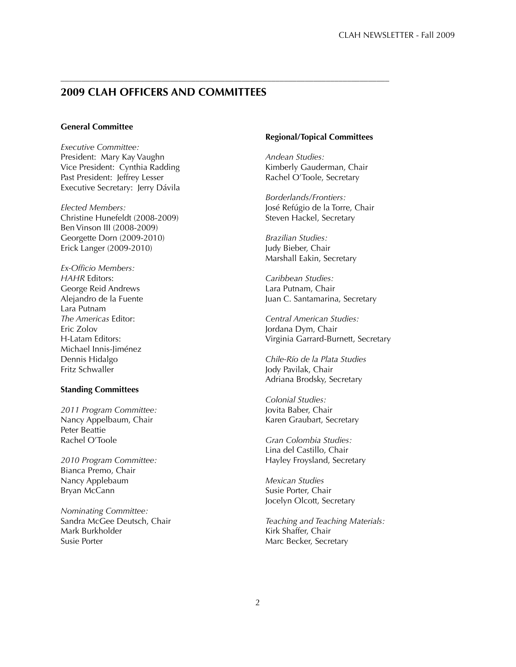# **2009 CLAH OFFICERS AND COMMITTEES**

––––––––––––––––––––––––––––––––––––––––––––––––––––––––––––––––––––––––––––––

# **General Committee**

*Executive Committee:* President: Mary Kay Vaughn Vice President: Cynthia Radding Past President: Jeffrey Lesser Executive Secretary: Jerry Dávila

*Elected Members:* Christine Hunefeldt (2008-2009) Ben Vinson III (2008-2009) Georgette Dorn (2009-2010) Erick Langer (2009-2010)

*Ex-Officio Members: HAHR* Editors: George Reid Andrews Alejandro de la Fuente Lara Putnam *The Americas* Editor: Eric Zolov H-Latam Editors: Michael Innis-Jiménez Dennis Hidalgo Fritz Schwaller

# **Standing Committees**

*2011 Program Committee:* Nancy Appelbaum, Chair Peter Beattie Rachel O'Toole

*2010 Program Committee:* Bianca Premo, Chair Nancy Applebaum Bryan McCann

*Nominating Committee:* Sandra McGee Deutsch, Chair Mark Burkholder Susie Porter

#### **Regional/Topical Committees**

*Andean Studies:* Kimberly Gauderman, Chair Rachel O'Toole, Secretary

*Borderlands/Frontiers:* José Refúgio de la Torre, Chair Steven Hackel, Secretary

*Brazilian Studies:* Judy Bieber, Chair Marshall Eakin, Secretary

*Caribbean Studies:* Lara Putnam, Chair Juan C. Santamarina, Secretary

*Central American Studies:* Jordana Dym, Chair Virginia Garrard-Burnett, Secretary

*Chile-Río de la Plata Studies* Jody Pavilak, Chair Adriana Brodsky, Secretary

*Colonial Studies:* Jovita Baber, Chair Karen Graubart, Secretary

*Gran Colombia Studies:* Lina del Castillo, Chair Hayley Froysland, Secretary

*Mexican Studies* Susie Porter, Chair Jocelyn Olcott, Secretary

*Teaching and Teaching Materials:* Kirk Shaffer, Chair Marc Becker, Secretary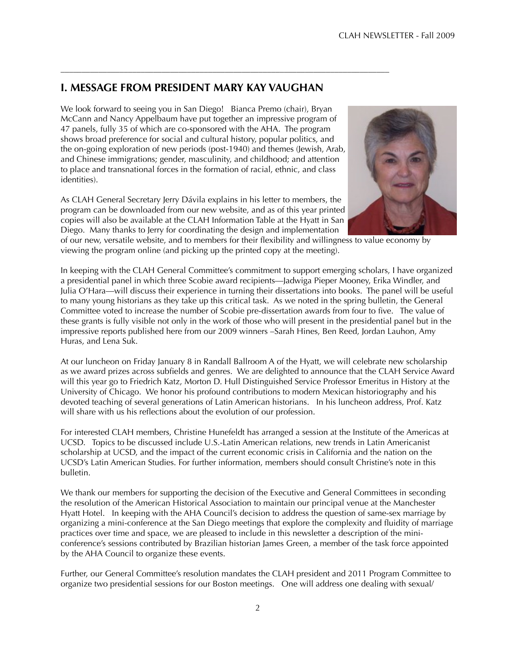# **I. MESSAGE FROM PRESIDENT MARY KAY VAUGHAN**

––––––––––––––––––––––––––––––––––––––––––––––––––––––––––––––––––––––––––––––

We look forward to seeing you in San Diego! Bianca Premo (chair), Bryan McCann and Nancy Appelbaum have put together an impressive program of 47 panels, fully 35 of which are co-sponsored with the AHA. The program shows broad preference for social and cultural history, popular politics, and the on-going exploration of new periods (post-1940) and themes (Jewish, Arab, and Chinese immigrations; gender, masculinity, and childhood; and attention to place and transnational forces in the formation of racial, ethnic, and class identities).

As CLAH General Secretary Jerry Dávila explains in his letter to members, the program can be downloaded from our new website, and as of this year printed copies will also be available at the CLAH Information Table at the Hyatt in San Diego. Many thanks to Jerry for coordinating the design and implementation



of our new, versatile website, and to members for their flexibility and willingness to value economy by viewing the program online (and picking up the printed copy at the meeting).

In keeping with the CLAH General Committee's commitment to support emerging scholars, I have organized a presidential panel in which three Scobie award recipients—Jadwiga Pieper Mooney, Erika Windler, and Julia O'Hara—will discuss their experience in turning their dissertations into books. The panel will be useful to many young historians as they take up this critical task. As we noted in the spring bulletin, the General Committee voted to increase the number of Scobie pre-dissertation awards from four to five. The value of these grants is fully visible not only in the work of those who will present in the presidential panel but in the impressive reports published here from our 2009 winners –Sarah Hines, Ben Reed, Jordan Lauhon, Amy Huras, and Lena Suk.

At our luncheon on Friday January 8 in Randall Ballroom A of the Hyatt, we will celebrate new scholarship as we award prizes across subfields and genres. We are delighted to announce that the CLAH Service Award will this year go to Friedrich Katz, Morton D. Hull Distinguished Service Professor Emeritus in History at the University of Chicago. We honor his profound contributions to modern Mexican historiography and his devoted teaching of several generations of Latin American historians. In his luncheon address, Prof. Katz will share with us his reflections about the evolution of our profession.

For interested CLAH members, Christine Hunefeldt has arranged a session at the Institute of the Americas at UCSD. Topics to be discussed include U.S.-Latin American relations, new trends in Latin Americanist scholarship at UCSD, and the impact of the current economic crisis in California and the nation on the UCSD's Latin American Studies. For further information, members should consult Christine's note in this bulletin.

We thank our members for supporting the decision of the Executive and General Committees in seconding the resolution of the American Historical Association to maintain our principal venue at the Manchester Hyatt Hotel. In keeping with the AHA Council's decision to address the question of same-sex marriage by organizing a mini-conference at the San Diego meetings that explore the complexity and fluidity of marriage practices over time and space, we are pleased to include in this newsletter a description of the miniconference's sessions contributed by Brazilian historian James Green, a member of the task force appointed by the AHA Council to organize these events.

Further, our General Committee's resolution mandates the CLAH president and 2011 Program Committee to organize two presidential sessions for our Boston meetings. One will address one dealing with sexual/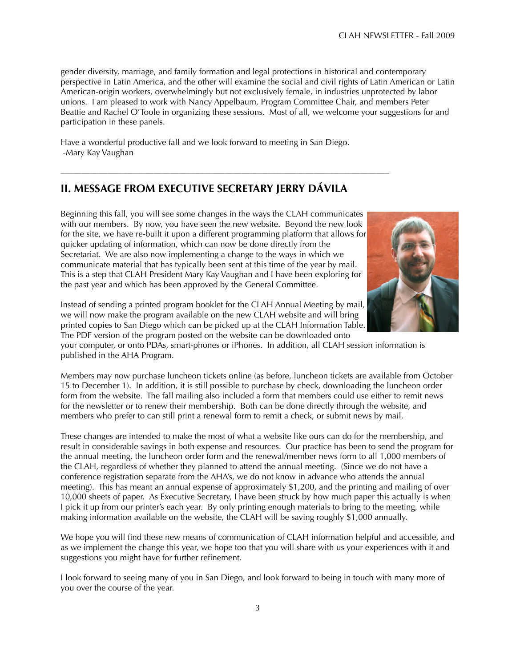gender diversity, marriage, and family formation and legal protections in historical and contemporary perspective in Latin America, and the other will examine the social and civil rights of Latin American or Latin American-origin workers, overwhelmingly but not exclusively female, in industries unprotected by labor unions. I am pleased to work with Nancy Appelbaum, Program Committee Chair, and members Peter Beattie and Rachel O'Toole in organizing these sessions. Most of all, we welcome your suggestions for and participation in these panels.

Have a wonderful productive fall and we look forward to meeting in San Diego. -Mary Kay Vaughan

# **II. MESSAGE FROM EXECUTIVE SECRETARY JERRY DÁVILA**

––––––––––––––––––––––––––––––––––––––––––––––––––––––––––––––––––––––––––––––

Beginning this fall, you will see some changes in the ways the CLAH communicates with our members. By now, you have seen the new website. Beyond the new look for the site, we have re-built it upon a different programming platform that allows for quicker updating of information, which can now be done directly from the Secretariat. We are also now implementing a change to the ways in which we communicate material that has typically been sent at this time of the year by mail. This is a step that CLAH President Mary Kay Vaughan and I have been exploring for the past year and which has been approved by the General Committee.



your computer, or onto PDAs, smart-phones or iPhones. In addition, all CLAH session information is published in the AHA Program.

Members may now purchase luncheon tickets online (as before, luncheon tickets are available from October 15 to December 1). In addition, it is still possible to purchase by check, downloading the luncheon order form from the website. The fall mailing also included a form that members could use either to remit news for the newsletter or to renew their membership. Both can be done directly through the website, and members who prefer to can still print a renewal form to remit a check, or submit news by mail.

These changes are intended to make the most of what a website like ours can do for the membership, and result in considerable savings in both expense and resources. Our practice has been to send the program for the annual meeting, the luncheon order form and the renewal/member news form to all 1,000 members of the CLAH, regardless of whether they planned to attend the annual meeting. (Since we do not have a conference registration separate from the AHA's, we do not know in advance who attends the annual meeting). This has meant an annual expense of approximately \$1,200, and the printing and mailing of over 10,000 sheets of paper. As Executive Secretary, I have been struck by how much paper this actually is when I pick it up from our printer's each year. By only printing enough materials to bring to the meeting, while making information available on the website, the CLAH will be saving roughly \$1,000 annually.

We hope you will find these new means of communication of CLAH information helpful and accessible, and as we implement the change this year, we hope too that you will share with us your experiences with it and suggestions you might have for further refinement.

I look forward to seeing many of you in San Diego, and look forward to being in touch with many more of you over the course of the year.

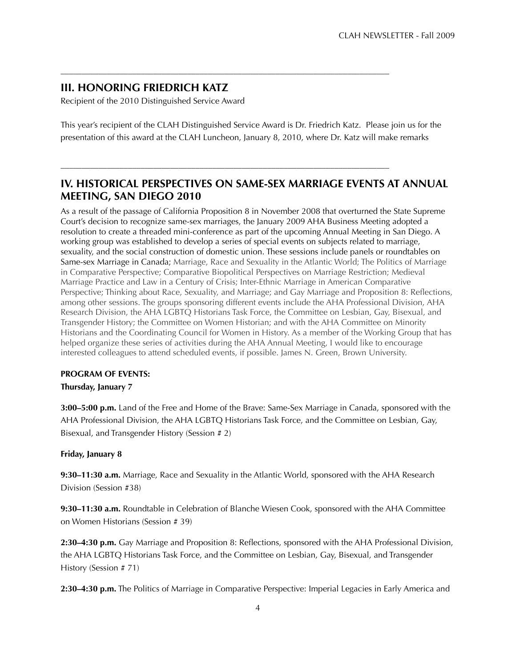# **III. HONORING FRIEDRICH KATZ**

Recipient of the 2010 Distinguished Service Award

This year's recipient of the CLAH Distinguished Service Award is Dr. Friedrich Katz. Please join us for the presentation of this award at the CLAH Luncheon, January 8, 2010, where Dr. Katz will make remarks

––––––––––––––––––––––––––––––––––––––––––––––––––––––––––––––––––––––––––––––

––––––––––––––––––––––––––––––––––––––––––––––––––––––––––––––––––––––––––––––

# **IV. HISTORICAL PERSPECTIVES ON SAME-SEX MARRIAGE EVENTS AT ANNUAL MEETING, SAN DIEGO 2010**

As a result of the passage of California Proposition 8 in November 2008 that overturned the State Supreme Court's decision to recognize same-sex marriages, the January 2009 AHA Business Meeting adopted a resolution to create a threaded mini-conference as part of the upcoming Annual Meeting in San Diego. A working group was established to develop a series of special events on subjects related to marriage, sexuality, and the social construction of domestic union. These sessions include panels or roundtables on Same-sex Marriage in Canada; Marriage, Race and Sexuality in the Atlantic World; The Politics of Marriage in Comparative Perspective; Comparative Biopolitical Perspectives on Marriage Restriction; Medieval Marriage Practice and Law in a Century of Crisis; Inter-Ethnic Marriage in American Comparative Perspective; Thinking about Race, Sexuality, and Marriage; and Gay Marriage and Proposition 8: Reflections, among other sessions. The groups sponsoring different events include the AHA Professional Division, AHA Research Division, the AHA LGBTQ Historians Task Force, the Committee on Lesbian, Gay, Bisexual, and Transgender History; the Committee on Women Historian; and with the AHA Committee on Minority Historians and the Coordinating Council for Women in History. As a member of the Working Group that has helped organize these series of activities during the AHA Annual Meeting, I would like to encourage interested colleagues to attend scheduled events, if possible. James N. Green, Brown University.

# **PROGRAM OF EVENTS:**

# **Thursday, January 7**

**3:00–5:00 p.m.** Land of the Free and Home of the Brave: Same-Sex Marriage in Canada, sponsored with the AHA Professional Division, the AHA LGBTQ Historians Task Force, and the Committee on Lesbian, Gay, Bisexual, and Transgender History (Session # 2)

# **Friday, January 8**

**9:30–11:30 a.m.** Marriage, Race and Sexuality in the Atlantic World, sponsored with the AHA Research Division (Session #38)

**9:30–11:30 a.m.** Roundtable in Celebration of Blanche Wiesen Cook, sponsored with the AHA Committee on Women Historians (Session # 39)

**2:30–4:30 p.m.** Gay Marriage and Proposition 8: Reflections, sponsored with the AHA Professional Division, the AHA LGBTQ Historians Task Force, and the Committee on Lesbian, Gay, Bisexual, and Transgender History (Session # 71)

**2:30–4:30 p.m.** The Politics of Marriage in Comparative Perspective: Imperial Legacies in Early America and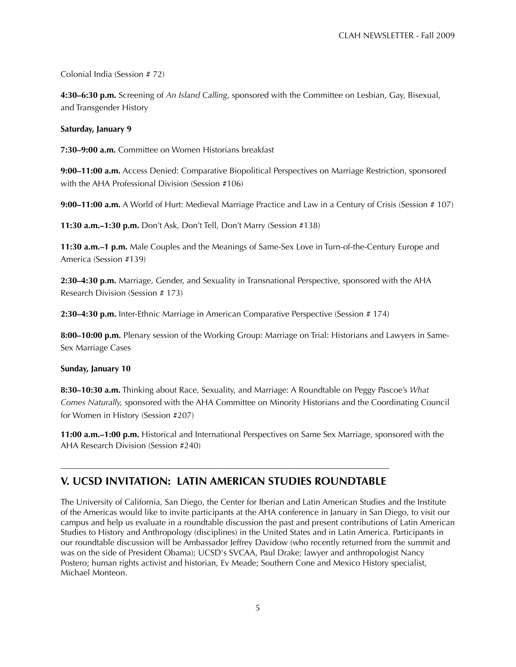Colonial India (Session # 72)

**4:30–6:30 p.m.** Screening of *An Island Calling*, sponsored with the Committee on Lesbian, Gay, Bisexual, and Transgender History

#### **Saturday, January 9**

**7:30–9:00 a.m.** Committee on Women Historians breakfast

**9:00–11:00 a.m.** Access Denied: Comparative Biopolitical Perspectives on Marriage Restriction, sponsored with the AHA Professional Division (Session #106)

**9:00–11:00 a.m.** A World of Hurt: Medieval Marriage Practice and Law in a Century of Crisis (Session # 107)

**11:30 a.m.–1:30 p.m.** Don't Ask, Don't Tell, Don't Marry (Session #138)

**11:30 a.m.–1 p.m.** Male Couples and the Meanings of Same-Sex Love in Turn-of-the-Century Europe and America (Session #139)

**2:30–4:30 p.m.** Marriage, Gender, and Sexuality in Transnational Perspective, sponsored with the AHA Research Division (Session # 173)

**2:30–4:30 p.m.** Inter-Ethnic Marriage in American Comparative Perspective (Session # 174)

**8:00–10:00 p.m.** Plenary session of the Working Group: Marriage on Trial: Historians and Lawyers in Same-Sex Marriage Cases

#### **Sunday, January 10**

**8:30–10:30 a.m.** Thinking about Race, Sexuality, and Marriage: A Roundtable on Peggy Pascoe's *What Comes Naturally,* sponsored with the AHA Committee on Minority Historians and the Coordinating Council for Women in History (Session #207)

**11:00 a.m.–1:00 p.m.** Historical and International Perspectives on Same Sex Marriage, sponsored with the AHA Research Division (Session #240)

# –––––––––––––––––––––––––––––––––––––––––––––––––––––––––––––––––––––––––––––– **V. UCSD INVITATION: LATIN AMERICAN STUDIES ROUNDTABLE**

The University of California, San Diego, the Center for Iberian and Latin American Studies and the Institute of the Americas would like to invite participants at the AHA conference in January in San Diego, to visit our campus and help us evaluate in a roundtable discussion the past and present contributions of Latin American Studies to History and Anthropology (disciplines) in the United States and in Latin America. Participants in our roundtable discussion will be Ambassador Jeffrey Davidow (who recently returned from the summit and was on the side of President Obama); UCSD's SVCAA, Paul Drake; lawyer and anthropologist Nancy Postero; human rights activist and historian, Ev Meade; Southern Cone and Mexico History specialist, Michael Monteon.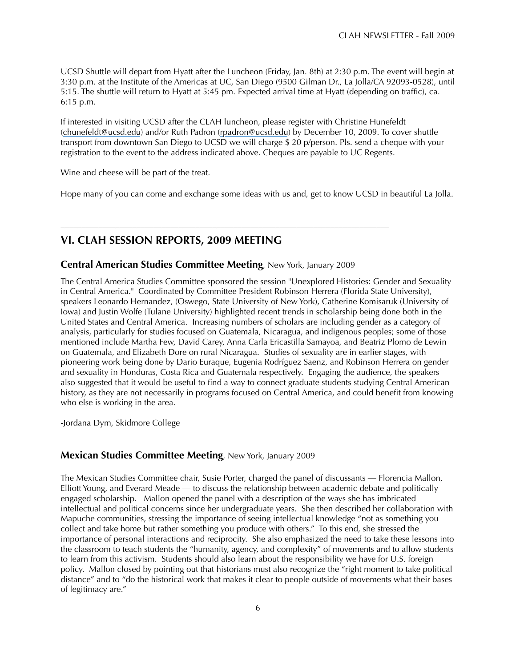UCSD Shuttle will depart from Hyatt after the Luncheon (Friday, Jan. 8th) at 2:30 p.m. The event will begin at 3:30 p.m. at the Institute of the Americas at UC, San Diego (9500 Gilman Dr., La Jolla/CA 92093-0528), until 5:15. The shuttle will return to Hyatt at 5:45 pm. Expected arrival time at Hyatt (depending on traffic), ca. 6:15 p.m.

If interested in visiting UCSD after the CLAH luncheon, please register with Christine Hunefeldt (chunefeldt@ucsd.edu) and/or Ruth Padron (rpadron@ucsd.edu) by December 10, 2009. To cover shuttle transport from downtown San Diego to UCSD we will charge \$ 20 p/person. Pls. send a cheque with your registration to the event to the address indicated above. Cheques are payable to UC Regents.

Wine and cheese will be part of the treat.

Hope many of you can come and exchange some ideas with us and, get to know UCSD in beautiful La Jolla.

# **VI. CLAH SESSION REPORTS, 2009 MEETING**

# **Central American Studies Committee Meeting**, New York, January 2009

––––––––––––––––––––––––––––––––––––––––––––––––––––––––––––––––––––––––––––––

The Central America Studies Committee sponsored the session "Unexplored Histories: Gender and Sexuality in Central America." Coordinated by Committee President Robinson Herrera (Florida State University), speakers Leonardo Hernandez, (Oswego, State University of New York), Catherine Komisaruk (University of Iowa) and Justin Wolfe (Tulane University) highlighted recent trends in scholarship being done both in the United States and Central America. Increasing numbers of scholars are including gender as a category of analysis, particularly for studies focused on Guatemala, Nicaragua, and indigenous peoples; some of those mentioned include Martha Few, David Carey, Anna Carla Ericastilla Samayoa, and Beatriz Plomo de Lewin on Guatemala, and Elizabeth Dore on rural Nicaragua. Studies of sexuality are in earlier stages, with pioneering work being done by Dario Euraque, Eugenia Rodríguez Saenz, and Robinson Herrera on gender and sexuality in Honduras, Costa Rica and Guatemala respectively. Engaging the audience, the speakers also suggested that it would be useful to find a way to connect graduate students studying Central American history, as they are not necessarily in programs focused on Central America, and could benefit from knowing who else is working in the area.

-Jordana Dym, Skidmore College

# **Mexican Studies Committee Meeting**, New York, January 2009

The Mexican Studies Committee chair, Susie Porter, charged the panel of discussants — Florencia Mallon, Elliott Young, and Everard Meade — to discuss the relationship between academic debate and politically engaged scholarship. Mallon opened the panel with a description of the ways she has imbricated intellectual and political concerns since her undergraduate years. She then described her collaboration with Mapuche communities, stressing the importance of seeing intellectual knowledge "not as something you collect and take home but rather something you produce with others." To this end, she stressed the importance of personal interactions and reciprocity. She also emphasized the need to take these lessons into the classroom to teach students the "humanity, agency, and complexity" of movements and to allow students to learn from this activism. Students should also learn about the responsibility we have for U.S. foreign policy. Mallon closed by pointing out that historians must also recognize the "right moment to take political distance" and to "do the historical work that makes it clear to people outside of movements what their bases of legitimacy are."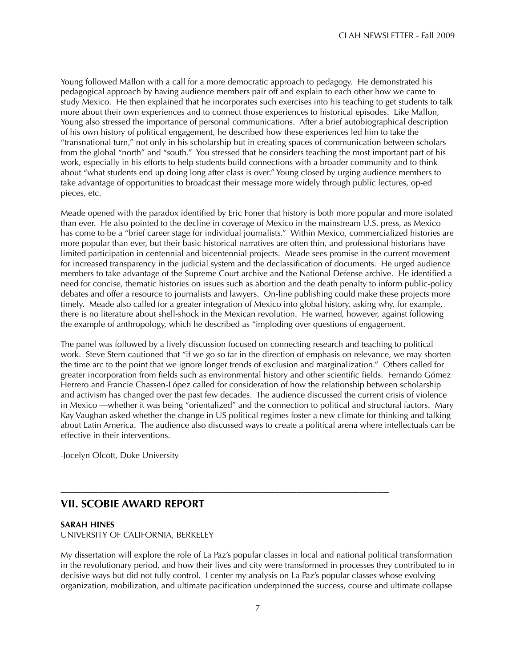Young followed Mallon with a call for a more democratic approach to pedagogy. He demonstrated his pedagogical approach by having audience members pair off and explain to each other how we came to study Mexico. He then explained that he incorporates such exercises into his teaching to get students to talk more about their own experiences and to connect those experiences to historical episodes. Like Mallon, Young also stressed the importance of personal communications. After a brief autobiographical description of his own history of political engagement, he described how these experiences led him to take the "transnational turn," not only in his scholarship but in creating spaces of communication between scholars from the global "north" and "south." You stressed that he considers teaching the most important part of his work, especially in his efforts to help students build connections with a broader community and to think about "what students end up doing long after class is over." Young closed by urging audience members to take advantage of opportunities to broadcast their message more widely through public lectures, op-ed pieces, etc.

Meade opened with the paradox identified by Eric Foner that history is both more popular and more isolated than ever. He also pointed to the decline in coverage of Mexico in the mainstream U.S. press, as Mexico has come to be a "brief career stage for individual journalists." Within Mexico, commercialized histories are more popular than ever, but their basic historical narratives are often thin, and professional historians have limited participation in centennial and bicentennial projects. Meade sees promise in the current movement for increased transparency in the judicial system and the declassification of documents. He urged audience members to take advantage of the Supreme Court archive and the National Defense archive. He identified a need for concise, thematic histories on issues such as abortion and the death penalty to inform public-policy debates and offer a resource to journalists and lawyers. On-line publishing could make these projects more timely. Meade also called for a greater integration of Mexico into global history, asking why, for example, there is no literature about shell-shock in the Mexican revolution. He warned, however, against following the example of anthropology, which he described as "imploding over questions of engagement.

The panel was followed by a lively discussion focused on connecting research and teaching to political work. Steve Stern cautioned that "if we go so far in the direction of emphasis on relevance, we may shorten the time arc to the point that we ignore longer trends of exclusion and marginalization." Others called for greater incorporation from fields such as environmental history and other scientific fields. Fernando Gómez Herrero and Francie Chassen-López called for consideration of how the relationship between scholarship and activism has changed over the past few decades. The audience discussed the current crisis of violence in Mexico —whether it was being "orientalized" and the connection to political and structural factors. Mary Kay Vaughan asked whether the change in US political regimes foster a new climate for thinking and talking about Latin America. The audience also discussed ways to create a political arena where intellectuals can be effective in their interventions.

-Jocelyn Olcott, Duke University

# **VII. SCOBIE AWARD REPORT**

#### **SARAH HINES**

UNIVERSITY OF CALIFORNIA, BERKELEY

My dissertation will explore the role of La Paz's popular classes in local and national political transformation in the revolutionary period, and how their lives and city were transformed in processes they contributed to in decisive ways but did not fully control. I center my analysis on La Paz's popular classes whose evolving organization, mobilization, and ultimate pacification underpinned the success, course and ultimate collapse

––––––––––––––––––––––––––––––––––––––––––––––––––––––––––––––––––––––––––––––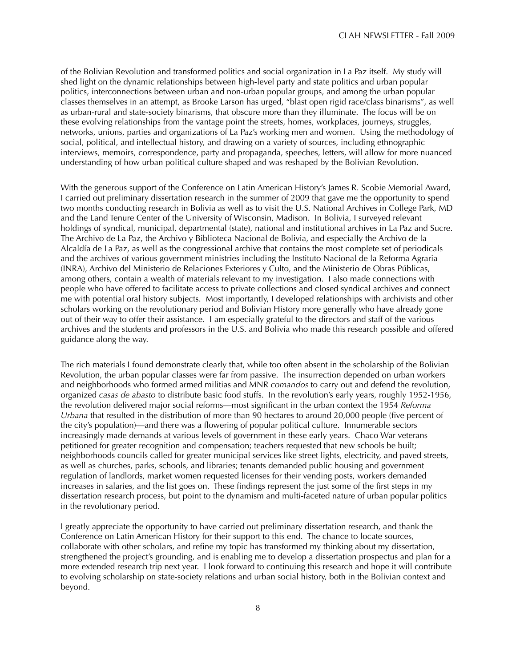of the Bolivian Revolution and transformed politics and social organization in La Paz itself. My study will shed light on the dynamic relationships between high-level party and state politics and urban popular politics, interconnections between urban and non-urban popular groups, and among the urban popular classes themselves in an attempt, as Brooke Larson has urged, "blast open rigid race/class binarisms", as well as urban-rural and state-society binarisms, that obscure more than they illuminate. The focus will be on these evolving relationships from the vantage point the streets, homes, workplaces, journeys, struggles, networks, unions, parties and organizations of La Paz's working men and women. Using the methodology of social, political, and intellectual history, and drawing on a variety of sources, including ethnographic interviews, memoirs, correspondence, party and propaganda, speeches, letters, will allow for more nuanced understanding of how urban political culture shaped and was reshaped by the Bolivian Revolution.

With the generous support of the Conference on Latin American History's James R. Scobie Memorial Award, I carried out preliminary dissertation research in the summer of 2009 that gave me the opportunity to spend two months conducting research in Bolivia as well as to visit the U.S. National Archives in College Park, MD and the Land Tenure Center of the University of Wisconsin, Madison. In Bolivia, I surveyed relevant holdings of syndical, municipal, departmental (state), national and institutional archives in La Paz and Sucre. The Archivo de La Paz, the Archivo y Biblioteca Nacional de Bolivia, and especially the Archivo de la Alcaldía de La Paz, as well as the congressional archive that contains the most complete set of periodicals and the archives of various government ministries including the Instituto Nacional de la Reforma Agraria (INRA), Archivo del Ministerio de Relaciones Exteriores y Culto, and the Ministerio de Obras Públicas, among others, contain a wealth of materials relevant to my investigation. I also made connections with people who have offered to facilitate access to private collections and closed syndical archives and connect me with potential oral history subjects. Most importantly, I developed relationships with archivists and other scholars working on the revolutionary period and Bolivian History more generally who have already gone out of their way to offer their assistance. I am especially grateful to the directors and staff of the various archives and the students and professors in the U.S. and Bolivia who made this research possible and offered guidance along the way.

The rich materials I found demonstrate clearly that, while too often absent in the scholarship of the Bolivian Revolution, the urban popular classes were far from passive. The insurrection depended on urban workers and neighborhoods who formed armed militias and MNR *comandos* to carry out and defend the revolution, organized *casas de abasto* to distribute basic food stuffs. In the revolution's early years, roughly 1952-1956, the revolution delivered major social reforms—most significant in the urban context the 1954 *Reforma Urbana* that resulted in the distribution of more than 90 hectares to around 20,000 people (five percent of the city's population)—and there was a flowering of popular political culture. Innumerable sectors increasingly made demands at various levels of government in these early years. Chaco War veterans petitioned for greater recognition and compensation; teachers requested that new schools be built; neighborhoods councils called for greater municipal services like street lights, electricity, and paved streets, as well as churches, parks, schools, and libraries; tenants demanded public housing and government regulation of landlords, market women requested licenses for their vending posts, workers demanded increases in salaries, and the list goes on. These findings represent the just some of the first steps in my dissertation research process, but point to the dynamism and multi-faceted nature of urban popular politics in the revolutionary period.

I greatly appreciate the opportunity to have carried out preliminary dissertation research, and thank the Conference on Latin American History for their support to this end. The chance to locate sources, collaborate with other scholars, and refine my topic has transformed my thinking about my dissertation, strengthened the project's grounding, and is enabling me to develop a dissertation prospectus and plan for a more extended research trip next year. I look forward to continuing this research and hope it will contribute to evolving scholarship on state-society relations and urban social history, both in the Bolivian context and beyond.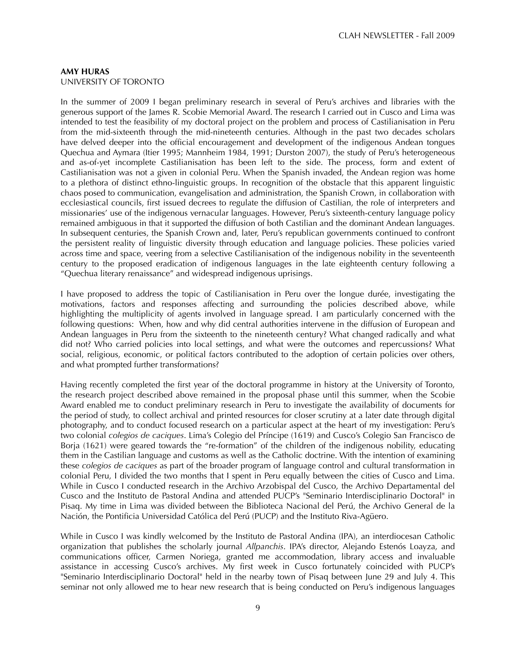#### **AMY HURAS** UNIVERSITY OF TORONTO

In the summer of 2009 I began preliminary research in several of Peru's archives and libraries with the generous support of the James R. Scobie Memorial Award. The research I carried out in Cusco and Lima was intended to test the feasibility of my doctoral project on the problem and process of Castilianisation in Peru from the mid-sixteenth through the mid-nineteenth centuries. Although in the past two decades scholars have delved deeper into the official encouragement and development of the indigenous Andean tongues Quechua and Aymara (Itier 1995; Mannheim 1984, 1991; Durston 2007), the study of Peru's heterogeneous and as-of-yet incomplete Castilianisation has been left to the side. The process, form and extent of Castilianisation was not a given in colonial Peru. When the Spanish invaded, the Andean region was home to a plethora of distinct ethno-linguistic groups. In recognition of the obstacle that this apparent linguistic chaos posed to communication, evangelisation and administration, the Spanish Crown, in collaboration with ecclesiastical councils, first issued decrees to regulate the diffusion of Castilian, the role of interpreters and missionaries' use of the indigenous vernacular languages. However, Peru's sixteenth-century language policy remained ambiguous in that it supported the diffusion of both Castilian and the dominant Andean languages. In subsequent centuries, the Spanish Crown and, later, Peru's republican governments continued to confront the persistent reality of linguistic diversity through education and language policies. These policies varied across time and space, veering from a selective Castilianisation of the indigenous nobility in the seventeenth century to the proposed eradication of indigenous languages in the late eighteenth century following a "Quechua literary renaissance" and widespread indigenous uprisings.

I have proposed to address the topic of Castilianisation in Peru over the longue durée, investigating the motivations, factors and responses affecting and surrounding the policies described above, while highlighting the multiplicity of agents involved in language spread. I am particularly concerned with the following questions: When, how and why did central authorities intervene in the diffusion of European and Andean languages in Peru from the sixteenth to the nineteenth century? What changed radically and what did not? Who carried policies into local settings, and what were the outcomes and repercussions? What social, religious, economic, or political factors contributed to the adoption of certain policies over others, and what prompted further transformations?

Having recently completed the first year of the doctoral programme in history at the University of Toronto, the research project described above remained in the proposal phase until this summer, when the Scobie Award enabled me to conduct preliminary research in Peru to investigate the availability of documents for the period of study, to collect archival and printed resources for closer scrutiny at a later date through digital photography, and to conduct focused research on a particular aspect at the heart of my investigation: Peru's two colonial *colegios de caciques*. Lima's Colegio del Príncipe (1619) and Cusco's Colegio San Francisco de Borja (1621) were geared towards the "re-formation" of the children of the indigenous nobility, educating them in the Castilian language and customs as well as the Catholic doctrine. With the intention of examining these *colegios de caciques* as part of the broader program of language control and cultural transformation in colonial Peru, I divided the two months that I spent in Peru equally between the cities of Cusco and Lima. While in Cusco I conducted research in the Archivo Arzobispal del Cusco, the Archivo Departamental del Cusco and the Instituto de Pastoral Andina and attended PUCP's "Seminario Interdisciplinario Doctoral" in Pisaq. My time in Lima was divided between the Biblioteca Nacional del Perú, the Archivo General de la Nación, the Pontificia Universidad Católica del Perú (PUCP) and the Instituto Riva-Agüero.

While in Cusco I was kindly welcomed by the Instituto de Pastoral Andina (IPA), an interdiocesan Catholic organization that publishes the scholarly journal *Allpanchis*. IPA's director, Alejando Estenós Loayza, and communications officer, Carmen Noriega, granted me accommodation, library access and invaluable assistance in accessing Cusco's archives. My first week in Cusco fortunately coincided with PUCP's "Seminario Interdisciplinario Doctoral" held in the nearby town of Pisaq between June 29 and July 4. This seminar not only allowed me to hear new research that is being conducted on Peru's indigenous languages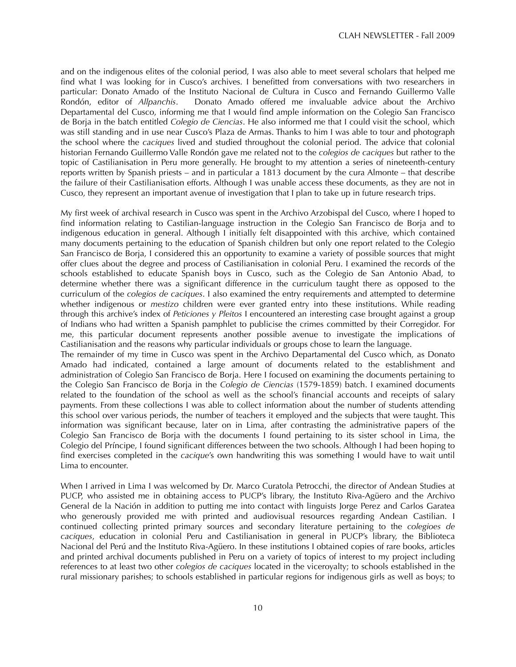and on the indigenous elites of the colonial period, I was also able to meet several scholars that helped me find what I was looking for in Cusco's archives. I benefitted from conversations with two researchers in particular: Donato Amado of the Instituto Nacional de Cultura in Cusco and Fernando Guillermo Valle Rondón, editor of *Allpanchis*. Donato Amado offered me invaluable advice about the Archivo Departamental del Cusco, informing me that I would find ample information on the Colegio San Francisco de Borja in the batch entitled *Colegio de Ciencias*. He also informed me that I could visit the school, which was still standing and in use near Cusco's Plaza de Armas. Thanks to him I was able to tour and photograph the school where the *caciques* lived and studied throughout the colonial period. The advice that colonial historian Fernando Guillermo Valle Rondón gave me related not to the *colegios de caciques* but rather to the topic of Castilianisation in Peru more generally. He brought to my attention a series of nineteenth-century reports written by Spanish priests – and in particular a 1813 document by the cura Almonte – that describe the failure of their Castilianisation efforts. Although I was unable access these documents, as they are not in Cusco, they represent an important avenue of investigation that I plan to take up in future research trips.

My first week of archival research in Cusco was spent in the Archivo Arzobispal del Cusco, where I hoped to find information relating to Castilian-language instruction in the Colegio San Francisco de Borja and to indigenous education in general. Although I initially felt disappointed with this archive, which contained many documents pertaining to the education of Spanish children but only one report related to the Colegio San Francisco de Borja, I considered this an opportunity to examine a variety of possible sources that might offer clues about the degree and process of Castilianisation in colonial Peru. I examined the records of the schools established to educate Spanish boys in Cusco, such as the Colegio de San Antonio Abad, to determine whether there was a significant difference in the curriculum taught there as opposed to the curriculum of the *colegios de caciques*. I also examined the entry requirements and attempted to determine whether indigenous or *mestizo* children were ever granted entry into these institutions. While reading through this archive's index of *Peticiones y Pleitos* I encountered an interesting case brought against a group of Indians who had written a Spanish pamphlet to publicise the crimes committed by their Corregidor. For me, this particular document represents another possible avenue to investigate the implications of Castilianisation and the reasons why particular individuals or groups chose to learn the language.

The remainder of my time in Cusco was spent in the Archivo Departamental del Cusco which, as Donato Amado had indicated, contained a large amount of documents related to the establishment and administration of Colegio San Francisco de Borja. Here I focused on examining the documents pertaining to the Colegio San Francisco de Borja in the *Colegio de Ciencias* (1579-1859) batch. I examined documents related to the foundation of the school as well as the school's financial accounts and receipts of salary payments. From these collections I was able to collect information about the number of students attending this school over various periods, the number of teachers it employed and the subjects that were taught. This information was significant because, later on in Lima, after contrasting the administrative papers of the Colegio San Francisco de Borja with the documents I found pertaining to its sister school in Lima, the Colegio del Príncipe, I found significant differences between the two schools. Although I had been hoping to find exercises completed in the *cacique*'s own handwriting this was something I would have to wait until Lima to encounter.

When I arrived in Lima I was welcomed by Dr. Marco Curatola Petrocchi, the director of Andean Studies at PUCP, who assisted me in obtaining access to PUCP's library, the Instituto Riva-Agüero and the Archivo General de la Nación in addition to putting me into contact with linguists Jorge Perez and Carlos Garatea who generously provided me with printed and audiovisual resources regarding Andean Castilian. I continued collecting printed primary sources and secondary literature pertaining to the *colegioes de caciques*, education in colonial Peru and Castilianisation in general in PUCP's library, the Biblioteca Nacional del Perú and the Instituto Riva-Agüero. In these institutions I obtained copies of rare books, articles and printed archival documents published in Peru on a variety of topics of interest to my project including references to at least two other *colegios de caciques* located in the viceroyalty; to schools established in the rural missionary parishes; to schools established in particular regions for indigenous girls as well as boys; to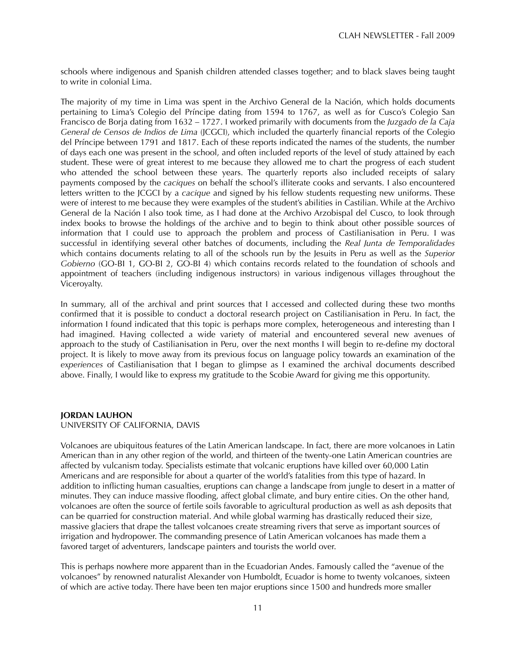schools where indigenous and Spanish children attended classes together; and to black slaves being taught to write in colonial Lima.

The majority of my time in Lima was spent in the Archivo General de la Nación, which holds documents pertaining to Lima's Colegio del Príncipe dating from 1594 to 1767, as well as for Cusco's Colegio San Francisco de Borja dating from 1632 – 1727. I worked primarily with documents from the *Juzgado de la Caja General de Censos de Indios de Lima* (JCGCI), which included the quarterly financial reports of the Colegio del Príncipe between 1791 and 1817. Each of these reports indicated the names of the students, the number of days each one was present in the school, and often included reports of the level of study attained by each student. These were of great interest to me because they allowed me to chart the progress of each student who attended the school between these years. The quarterly reports also included receipts of salary payments composed by the *caciques* on behalf the school's illiterate cooks and servants. I also encountered letters written to the JCGCI by a *cacique* and signed by his fellow students requesting new uniforms. These were of interest to me because they were examples of the student's abilities in Castilian. While at the Archivo General de la Nación I also took time, as I had done at the Archivo Arzobispal del Cusco, to look through index books to browse the holdings of the archive and to begin to think about other possible sources of information that I could use to approach the problem and process of Castilianisation in Peru. I was successful in identifying several other batches of documents, including the *Real Junta de Temporalidades*  which contains documents relating to all of the schools run by the Jesuits in Peru as well as the *Superior Gobierno* (GO-BI 1, GO-BI 2, GO-BI 4) which contains records related to the foundation of schools and appointment of teachers (including indigenous instructors) in various indigenous villages throughout the Viceroyalty.

In summary, all of the archival and print sources that I accessed and collected during these two months confirmed that it is possible to conduct a doctoral research project on Castilianisation in Peru. In fact, the information I found indicated that this topic is perhaps more complex, heterogeneous and interesting than I had imagined. Having collected a wide variety of material and encountered several new avenues of approach to the study of Castilianisation in Peru, over the next months I will begin to re-define my doctoral project. It is likely to move away from its previous focus on language policy towards an examination of the *experiences* of Castilianisation that I began to glimpse as I examined the archival documents described above. Finally, I would like to express my gratitude to the Scobie Award for giving me this opportunity.

#### **JORDAN LAUHON**

### UNIVERSITY OF CALIFORNIA, DAVIS

Volcanoes are ubiquitous features of the Latin American landscape. In fact, there are more volcanoes in Latin American than in any other region of the world, and thirteen of the twenty-one Latin American countries are affected by vulcanism today. Specialists estimate that volcanic eruptions have killed over 60,000 Latin Americans and are responsible for about a quarter of the world's fatalities from this type of hazard. In addition to inflicting human casualties, eruptions can change a landscape from jungle to desert in a matter of minutes. They can induce massive flooding, affect global climate, and bury entire cities. On the other hand, volcanoes are often the source of fertile soils favorable to agricultural production as well as ash deposits that can be quarried for construction material. And while global warming has drastically reduced their size, massive glaciers that drape the tallest volcanoes create streaming rivers that serve as important sources of irrigation and hydropower. The commanding presence of Latin American volcanoes has made them a favored target of adventurers, landscape painters and tourists the world over.

This is perhaps nowhere more apparent than in the Ecuadorian Andes. Famously called the "avenue of the volcanoes" by renowned naturalist Alexander von Humboldt, Ecuador is home to twenty volcanoes, sixteen of which are active today. There have been ten major eruptions since 1500 and hundreds more smaller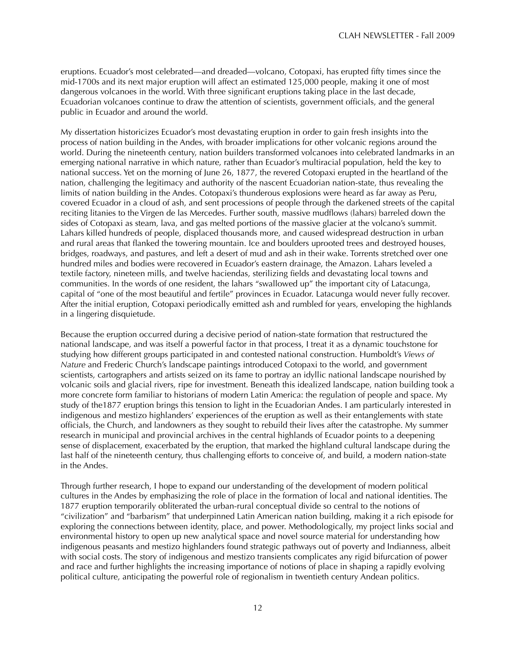eruptions. Ecuador's most celebrated—and dreaded—volcano, Cotopaxi, has erupted fifty times since the mid-1700s and its next major eruption will affect an estimated 125,000 people, making it one of most dangerous volcanoes in the world. With three significant eruptions taking place in the last decade, Ecuadorian volcanoes continue to draw the attention of scientists, government officials, and the general public in Ecuador and around the world.

My dissertation historicizes Ecuador's most devastating eruption in order to gain fresh insights into the process of nation building in the Andes, with broader implications for other volcanic regions around the world. During the nineteenth century, nation builders transformed volcanoes into celebrated landmarks in an emerging national narrative in which nature, rather than Ecuador's multiracial population, held the key to national success. Yet on the morning of June 26, 1877, the revered Cotopaxi erupted in the heartland of the nation, challenging the legitimacy and authority of the nascent Ecuadorian nation-state, thus revealing the limits of nation building in the Andes. Cotopaxi's thunderous explosions were heard as far away as Peru, covered Ecuador in a cloud of ash, and sent processions of people through the darkened streets of the capital reciting litanies to the Virgen de las Mercedes. Further south, massive mudflows (lahars) barreled down the sides of Cotopaxi as steam, lava, and gas melted portions of the massive glacier at the volcano's summit. Lahars killed hundreds of people, displaced thousands more, and caused widespread destruction in urban and rural areas that flanked the towering mountain. Ice and boulders uprooted trees and destroyed houses, bridges, roadways, and pastures, and left a desert of mud and ash in their wake. Torrents stretched over one hundred miles and bodies were recovered in Ecuador's eastern drainage, the Amazon. Lahars leveled a textile factory, nineteen mills, and twelve haciendas, sterilizing fields and devastating local towns and communities. In the words of one resident, the lahars "swallowed up" the important city of Latacunga, capital of "one of the most beautiful and fertile" provinces in Ecuador. Latacunga would never fully recover. After the initial eruption, Cotopaxi periodically emitted ash and rumbled for years, enveloping the highlands in a lingering disquietude.

Because the eruption occurred during a decisive period of nation-state formation that restructured the national landscape, and was itself a powerful factor in that process, I treat it as a dynamic touchstone for studying how different groups participated in and contested national construction. Humboldt's *Views of Nature* and Frederic Church's landscape paintings introduced Cotopaxi to the world, and government scientists, cartographers and artists seized on its fame to portray an idyllic national landscape nourished by volcanic soils and glacial rivers, ripe for investment. Beneath this idealized landscape, nation building took a more concrete form familiar to historians of modern Latin America: the regulation of people and space. My study of the1877 eruption brings this tension to light in the Ecuadorian Andes. I am particularly interested in indigenous and mestizo highlanders' experiences of the eruption as well as their entanglements with state officials, the Church, and landowners as they sought to rebuild their lives after the catastrophe. My summer research in municipal and provincial archives in the central highlands of Ecuador points to a deepening sense of displacement, exacerbated by the eruption, that marked the highland cultural landscape during the last half of the nineteenth century, thus challenging efforts to conceive of, and build, a modern nation-state in the Andes.

Through further research, I hope to expand our understanding of the development of modern political cultures in the Andes by emphasizing the role of place in the formation of local and national identities. The 1877 eruption temporarily obliterated the urban-rural conceptual divide so central to the notions of "civilization" and "barbarism" that underpinned Latin American nation building, making it a rich episode for exploring the connections between identity, place, and power. Methodologically, my project links social and environmental history to open up new analytical space and novel source material for understanding how indigenous peasants and mestizo highlanders found strategic pathways out of poverty and Indianness, albeit with social costs. The story of indigenous and mestizo transients complicates any rigid bifurcation of power and race and further highlights the increasing importance of notions of place in shaping a rapidly evolving political culture, anticipating the powerful role of regionalism in twentieth century Andean politics.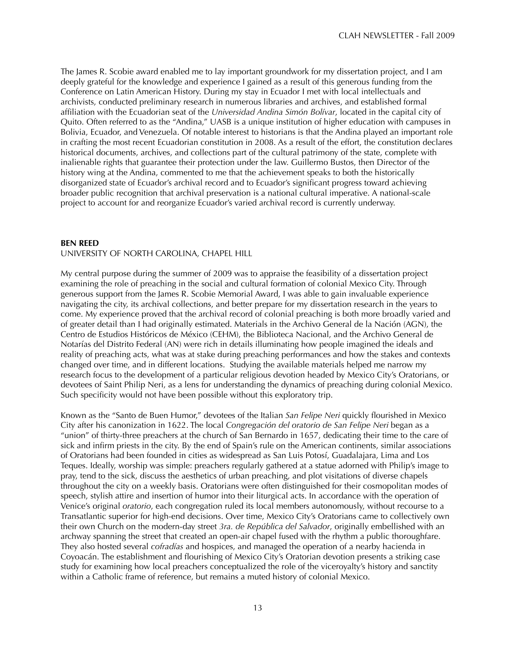The James R. Scobie award enabled me to lay important groundwork for my dissertation project, and I am deeply grateful for the knowledge and experience I gained as a result of this generous funding from the Conference on Latin American History. During my stay in Ecuador I met with local intellectuals and archivists, conducted preliminary research in numerous libraries and archives, and established formal affiliation with the Ecuadorian seat of the *Universidad Andina Simón Bolívar*, located in the capital city of Quito. Often referred to as the "Andina," UASB is a unique institution of higher education with campuses in Bolivia, Ecuador, and Venezuela. Of notable interest to historians is that the Andina played an important role in crafting the most recent Ecuadorian constitution in 2008. As a result of the effort, the constitution declares historical documents, archives, and collections part of the cultural patrimony of the state, complete with inalienable rights that guarantee their protection under the law. Guillermo Bustos, then Director of the history wing at the Andina, commented to me that the achievement speaks to both the historically disorganized state of Ecuador's archival record and to Ecuador's significant progress toward achieving broader public recognition that archival preservation is a national cultural imperative. A national-scale project to account for and reorganize Ecuador's varied archival record is currently underway.

#### **BEN REED**

#### UNIVERSITY OF NORTH CAROLINA, CHAPEL HILL

My central purpose during the summer of 2009 was to appraise the feasibility of a dissertation project examining the role of preaching in the social and cultural formation of colonial Mexico City. Through generous support from the James R. Scobie Memorial Award, I was able to gain invaluable experience navigating the city, its archival collections, and better prepare for my dissertation research in the years to come. My experience proved that the archival record of colonial preaching is both more broadly varied and of greater detail than I had originally estimated. Materials in the Archivo General de la Nación (AGN), the Centro de Estudios Históricos de México (CEHM), the Biblioteca Nacional, and the Archivo General de Notarías del Distrito Federal (AN) were rich in details illuminating how people imagined the ideals and reality of preaching acts, what was at stake during preaching performances and how the stakes and contexts changed over time, and in different locations. Studying the available materials helped me narrow my research focus to the development of a particular religious devotion headed by Mexico City's Oratorians, or devotees of Saint Philip Neri, as a lens for understanding the dynamics of preaching during colonial Mexico. Such specificity would not have been possible without this exploratory trip.

Known as the "Santo de Buen Humor," devotees of the Italian *San Felipe Neri* quickly flourished in Mexico City after his canonization in 1622. The local *Congregación del oratorio de San Felipe Neri* began as a "union" of thirty-three preachers at the church of San Bernardo in 1657, dedicating their time to the care of sick and infirm priests in the city. By the end of Spain's rule on the American continents, similar associations of Oratorians had been founded in cities as widespread as San Luis Potosí, Guadalajara, Lima and Los Teques. Ideally, worship was simple: preachers regularly gathered at a statue adorned with Philip's image to pray, tend to the sick, discuss the aesthetics of urban preaching, and plot visitations of diverse chapels throughout the city on a weekly basis. Oratorians were often distinguished for their cosmopolitan modes of speech, stylish attire and insertion of humor into their liturgical acts. In accordance with the operation of Venice's original *oratorio*, each congregation ruled its local members autonomously, without recourse to a Transatlantic superior for high-end decisions. Over time, Mexico City's Oratorians came to collectively own their own Church on the modern-day street *3ra. de República del Salvador*, originally embellished with an archway spanning the street that created an open-air chapel fused with the rhythm a public thoroughfare. They also hosted several *cofradías* and hospices, and managed the operation of a nearby hacienda in Coyoacán. The establishment and flourishing of Mexico City's Oratorian devotion presents a striking case study for examining how local preachers conceptualized the role of the viceroyalty's history and sanctity within a Catholic frame of reference, but remains a muted history of colonial Mexico.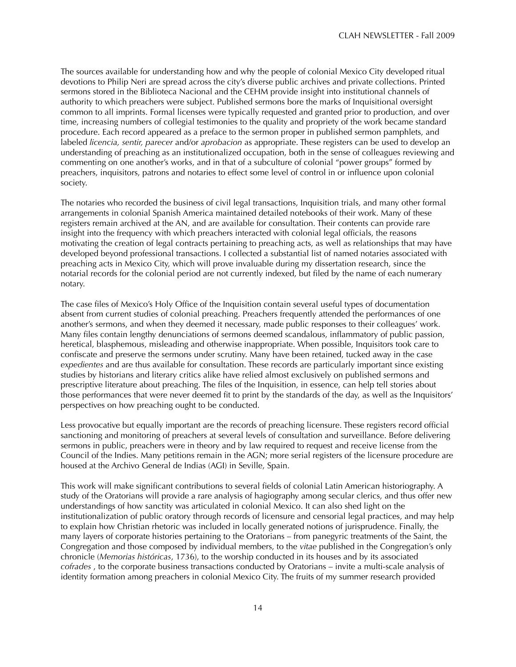The sources available for understanding how and why the people of colonial Mexico City developed ritual devotions to Philip Neri are spread across the city's diverse public archives and private collections. Printed sermons stored in the Biblioteca Nacional and the CEHM provide insight into institutional channels of authority to which preachers were subject. Published sermons bore the marks of Inquisitional oversight common to all imprints. Formal licenses were typically requested and granted prior to production, and over time, increasing numbers of collegial testimonies to the quality and propriety of the work became standard procedure. Each record appeared as a preface to the sermon proper in published sermon pamphlets, and labeled *licencia, sentir, parecer* and/or *aprobacion* as appropriate. These registers can be used to develop an understanding of preaching as an institutionalized occupation, both in the sense of colleagues reviewing and commenting on one another's works, and in that of a subculture of colonial "power groups" formed by preachers, inquisitors, patrons and notaries to effect some level of control in or influence upon colonial society.

The notaries who recorded the business of civil legal transactions, Inquisition trials, and many other formal arrangements in colonial Spanish America maintained detailed notebooks of their work. Many of these registers remain archived at the AN, and are available for consultation. Their contents can provide rare insight into the frequency with which preachers interacted with colonial legal officials, the reasons motivating the creation of legal contracts pertaining to preaching acts, as well as relationships that may have developed beyond professional transactions. I collected a substantial list of named notaries associated with preaching acts in Mexico City, which will prove invaluable during my dissertation research, since the notarial records for the colonial period are not currently indexed, but filed by the name of each numerary notary.

The case files of Mexico's Holy Office of the Inquisition contain several useful types of documentation absent from current studies of colonial preaching. Preachers frequently attended the performances of one another's sermons, and when they deemed it necessary, made public responses to their colleagues' work. Many files contain lengthy denunciations of sermons deemed scandalous, inflammatory of public passion, heretical, blasphemous, misleading and otherwise inappropriate. When possible, Inquisitors took care to confiscate and preserve the sermons under scrutiny. Many have been retained, tucked away in the case *expedientes* and are thus available for consultation. These records are particularly important since existing studies by historians and literary critics alike have relied almost exclusively on published sermons and prescriptive literature about preaching. The files of the Inquisition, in essence, can help tell stories about those performances that were never deemed fit to print by the standards of the day, as well as the Inquisitors' perspectives on how preaching ought to be conducted.

Less provocative but equally important are the records of preaching licensure. These registers record official sanctioning and monitoring of preachers at several levels of consultation and surveillance. Before delivering sermons in public, preachers were in theory and by law required to request and receive license from the Council of the Indies. Many petitions remain in the AGN; more serial registers of the licensure procedure are housed at the Archivo General de Indias (AGI) in Seville, Spain.

This work will make significant contributions to several fields of colonial Latin American historiography. A study of the Oratorians will provide a rare analysis of hagiography among secular clerics, and thus offer new understandings of how sanctity was articulated in colonial Mexico. It can also shed light on the institutionalization of public oratory through records of licensure and censorial legal practices, and may help to explain how Christian rhetoric was included in locally generated notions of jurisprudence. Finally, the many layers of corporate histories pertaining to the Oratorians – from panegyric treatments of the Saint, the Congregation and those composed by individual members, to the *vitae* published in the Congregation's only chronicle (*Memorias históricas*, 1736), to the worship conducted in its houses and by its associated *cofrades* , to the corporate business transactions conducted by Oratorians – invite a multi-scale analysis of identity formation among preachers in colonial Mexico City. The fruits of my summer research provided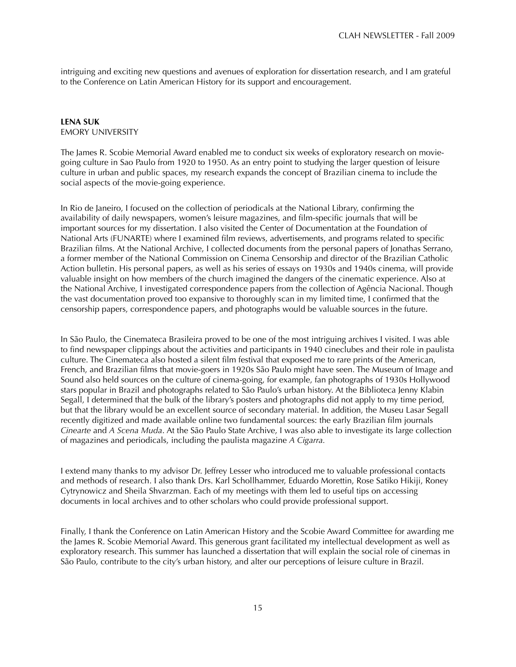intriguing and exciting new questions and avenues of exploration for dissertation research, and I am grateful to the Conference on Latin American History for its support and encouragement.

### **LENA SUK** EMORY UNIVERSITY

The James R. Scobie Memorial Award enabled me to conduct six weeks of exploratory research on moviegoing culture in Sao Paulo from 1920 to 1950. As an entry point to studying the larger question of leisure culture in urban and public spaces, my research expands the concept of Brazilian cinema to include the social aspects of the movie-going experience.

In Rio de Janeiro, I focused on the collection of periodicals at the National Library, confirming the availability of daily newspapers, women's leisure magazines, and film-specific journals that will be important sources for my dissertation. I also visited the Center of Documentation at the Foundation of National Arts (FUNARTE) where I examined film reviews, advertisements, and programs related to specific Brazilian films. At the National Archive, I collected documents from the personal papers of Jonathas Serrano, a former member of the National Commission on Cinema Censorship and director of the Brazilian Catholic Action bulletin. His personal papers, as well as his series of essays on 1930s and 1940s cinema, will provide valuable insight on how members of the church imagined the dangers of the cinematic experience. Also at the National Archive, I investigated correspondence papers from the collection of Agência Nacional. Though the vast documentation proved too expansive to thoroughly scan in my limited time, I confirmed that the censorship papers, correspondence papers, and photographs would be valuable sources in the future.

In São Paulo, the Cinemateca Brasileira proved to be one of the most intriguing archives I visited. I was able to find newspaper clippings about the activities and participants in 1940 cineclubes and their role in paulista culture. The Cinemateca also hosted a silent film festival that exposed me to rare prints of the American, French, and Brazilian films that movie-goers in 1920s São Paulo might have seen. The Museum of Image and Sound also held sources on the culture of cinema-going, for example, fan photographs of 1930s Hollywood stars popular in Brazil and photographs related to São Paulo's urban history. At the Biblioteca Jenny Klabin Segall, I determined that the bulk of the library's posters and photographs did not apply to my time period, but that the library would be an excellent source of secondary material. In addition, the Museu Lasar Segall recently digitized and made available online two fundamental sources: the early Brazilian film journals *Cinearte* and *A Scena Muda*. At the São Paulo State Archive, I was also able to investigate its large collection of magazines and periodicals, including the paulista magazine *A Cigarra.*

I extend many thanks to my advisor Dr. Jeffrey Lesser who introduced me to valuable professional contacts and methods of research. I also thank Drs. Karl Schollhammer, Eduardo Morettin, Rose Satiko Hikiji, Roney Cytrynowicz and Sheila Shvarzman. Each of my meetings with them led to useful tips on accessing documents in local archives and to other scholars who could provide professional support.

Finally, I thank the Conference on Latin American History and the Scobie Award Committee for awarding me the James R. Scobie Memorial Award. This generous grant facilitated my intellectual development as well as exploratory research. This summer has launched a dissertation that will explain the social role of cinemas in São Paulo, contribute to the city's urban history, and alter our perceptions of leisure culture in Brazil.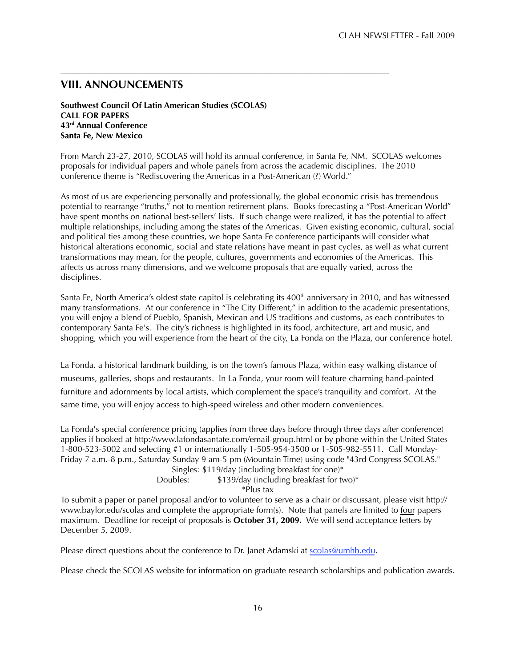# **VIII. ANNOUNCEMENTS**

**Southwest Council Of Latin American Studies (SCOLAS) CALL FOR PAPERS 43rd Annual Conference Santa Fe, New Mexico**

From March 23-27, 2010, SCOLAS will hold its annual conference, in Santa Fe, NM. SCOLAS welcomes proposals for individual papers and whole panels from across the academic disciplines. The 2010 conference theme is "Rediscovering the Americas in a Post-American (?) World."

––––––––––––––––––––––––––––––––––––––––––––––––––––––––––––––––––––––––––––––

As most of us are experiencing personally and professionally, the global economic crisis has tremendous potential to rearrange "truths," not to mention retirement plans. Books forecasting a "Post-American World" have spent months on national best-sellers' lists. If such change were realized, it has the potential to affect multiple relationships, including among the states of the Americas. Given existing economic, cultural, social and political ties among these countries, we hope Santa Fe conference participants will consider what historical alterations economic, social and state relations have meant in past cycles, as well as what current transformations may mean, for the people, cultures, governments and economies of the Americas. This affects us across many dimensions, and we welcome proposals that are equally varied, across the disciplines.

Santa Fe, North America's oldest state capitol is celebrating its  $400<sup>th</sup>$  anniversary in 2010, and has witnessed many transformations. At our conference in "The City Different," in addition to the academic presentations, you will enjoy a blend of Pueblo, Spanish, Mexican and US traditions and customs, as each contributes to contemporary Santa Fe's. The city's richness is highlighted in its food, architecture, art and music, and shopping, which you will experience from the heart of the city, La Fonda on the Plaza, our conference hotel.

La Fonda, a historical landmark building, is on the town's famous Plaza, within easy walking distance of museums, galleries, shops and restaurants. In La Fonda, your room will feature charming hand-painted furniture and adornments by local artists, which complement the space's tranquility and comfort. At the same time, you will enjoy access to high-speed wireless and other modern conveniences.

La Fonda's special conference pricing (applies from three days before through three days after conference) applies if booked at http://www.lafondasantafe.com/email-group.html or by phone within the United States 1-800-523-5002 and selecting #1 or internationally 1-505-954-3500 or 1-505-982-5511. Call Monday-Friday 7 a.m.-8 p.m., Saturday-Sunday 9 am-5 pm (Mountain Time) using code "43rd Congress SCOLAS." Singles: \$119/day (including breakfast for one)\*

Doubles: \$139/day (including breakfast for two)\*

\*Plus tax

To submit a paper or panel proposal and/or to volunteer to serve as a chair or discussant, please visit http:// www.baylor.edu/scolas and complete the appropriate form(s). Note that panels are limited to four papers maximum. Deadline for receipt of proposals is **October 31, 2009.** We will send acceptance letters by December 5, 2009.

Please direct questions about the conference to Dr. Janet Adamski at scolas@umhb.edu.

Please check the SCOLAS website for information on graduate research scholarships and publication awards.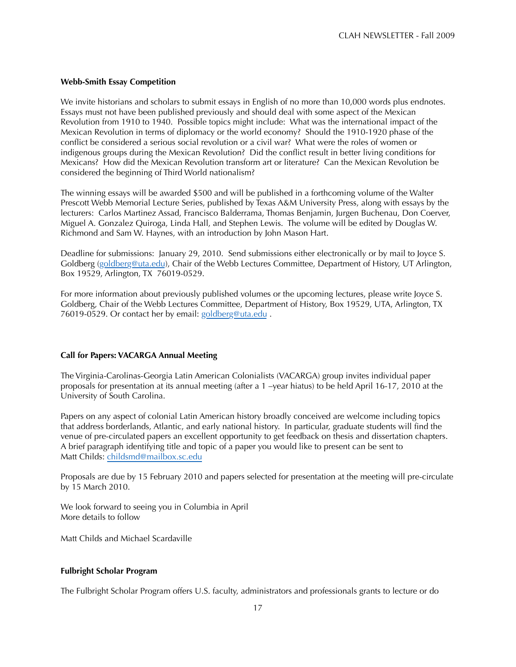## **Webb-Smith Essay Competition**

We invite historians and scholars to submit essays in English of no more than 10,000 words plus endnotes. Essays must not have been published previously and should deal with some aspect of the Mexican Revolution from 1910 to 1940. Possible topics might include: What was the international impact of the Mexican Revolution in terms of diplomacy or the world economy? Should the 1910-1920 phase of the conflict be considered a serious social revolution or a civil war? What were the roles of women or indigenous groups during the Mexican Revolution? Did the conflict result in better living conditions for Mexicans? How did the Mexican Revolution transform art or literature? Can the Mexican Revolution be considered the beginning of Third World nationalism?

The winning essays will be awarded \$500 and will be published in a forthcoming volume of the Walter Prescott Webb Memorial Lecture Series, published by Texas A&M University Press, along with essays by the lecturers: Carlos Martinez Assad, Francisco Balderrama, Thomas Benjamin, Jurgen Buchenau, Don Coerver, Miguel A. Gonzalez Quiroga, Linda Hall, and Stephen Lewis. The volume will be edited by Douglas W. Richmond and Sam W. Haynes, with an introduction by John Mason Hart.

Deadline for submissions: January 29, 2010. Send submissions either electronically or by mail to Joyce S. Goldberg (goldberg@uta.edu), Chair of the Webb Lectures Committee, Department of History, UT Arlington, Box 19529, Arlington, TX 76019-0529.

For more information about previously published volumes or the upcoming lectures, please write Joyce S. Goldberg, Chair of the Webb Lectures Committee, Department of History, Box 19529, UTA, Arlington, TX 76019-0529. Or contact her by email: goldberg@uta.edu.

#### **Call for Papers: VACARGA Annual Meeting**

The Virginia-Carolinas-Georgia Latin American Colonialists (VACARGA) group invites individual paper proposals for presentation at its annual meeting (after a 1 –year hiatus) to be held April 16-17, 2010 at the University of South Carolina.

Papers on any aspect of colonial Latin American history broadly conceived are welcome including topics that address borderlands, Atlantic, and early national history. In particular, graduate students will find the venue of pre-circulated papers an excellent opportunity to get feedback on thesis and dissertation chapters. A brief paragraph identifying title and topic of a paper you would like to present can be sent to Matt Childs: childsmd@mailbox.sc.edu

Proposals are due by 15 February 2010 and papers selected for presentation at the meeting will pre-circulate by 15 March 2010.

We look forward to seeing you in Columbia in April More details to follow

Matt Childs and Michael Scardaville

### **Fulbright Scholar Program**

The Fulbright Scholar Program offers U.S. faculty, administrators and professionals grants to lecture or do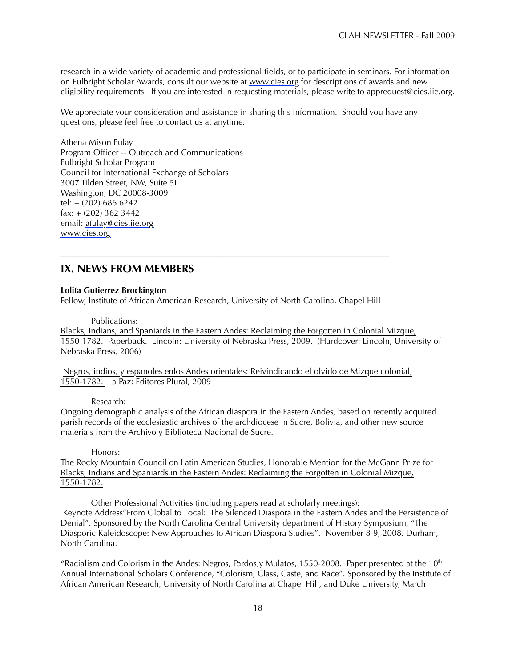research in a wide variety of academic and professional fields, or to participate in seminars. For information on Fulbright Scholar Awards, consult our website at www.cies.org for descriptions of awards and new eligibility requirements. If you are interested in requesting materials, please write to apprequest@cies.iie.org.

We appreciate your consideration and assistance in sharing this information. Should you have any questions, please feel free to contact us at anytime.

Athena Mison Fulay Program Officer -- Outreach and Communications Fulbright Scholar Program Council for International Exchange of Scholars 3007 Tilden Street, NW, Suite 5L Washington, DC 20008-3009 tel: + (202) 686 6242 fax: + (202) 362 3442 email: afulay@cies.iie.org www.cies.org

# **IX. NEWS FROM MEMBERS**

## **Lolita Gutierrez Brockington**

Fellow, Institute of African American Research, University of North Carolina, Chapel Hill

––––––––––––––––––––––––––––––––––––––––––––––––––––––––––––––––––––––––––––––

## Publications:

Blacks, Indians, and Spaniards in the Eastern Andes: Reclaiming the Forgotten in Colonial Mizque, 1550-1782. Paperback. Lincoln: University of Nebraska Press, 2009. (Hardcover: Lincoln, University of Nebraska Press, 2006)

Negros, indios, y espanoles enlos Andes orientales: Reivindicando el olvido de Mizque colonial, 1550-1782. La Paz: Editores Plural, 2009

#### Research:

Ongoing demographic analysis of the African diaspora in the Eastern Andes, based on recently acquired parish records of the ecclesiastic archives of the archdiocese in Sucre, Bolivia, and other new source materials from the Archivo y Biblioteca Nacional de Sucre.

#### Honors:

The Rocky Mountain Council on Latin American Studies, Honorable Mention for the McGann Prize for Blacks, Indians and Spaniards in the Eastern Andes: Reclaiming the Forgotten in Colonial Mizque, 1550-1782.

Other Professional Activities (including papers read at scholarly meetings): Keynote Address"From Global to Local: The Silenced Diaspora in the Eastern Andes and the Persistence of Denial". Sponsored by the North Carolina Central University department of History Symposium, "The Diasporic Kaleidoscope: New Approaches to African Diaspora Studies". November 8-9, 2008. Durham, North Carolina.

"Racialism and Colorism in the Andes: Negros, Pardos, y Mulatos, 1550-2008. Paper presented at the  $10<sup>th</sup>$ Annual International Scholars Conference, "Colorism, Class, Caste, and Race". Sponsored by the Institute of African American Research, University of North Carolina at Chapel Hill, and Duke University, March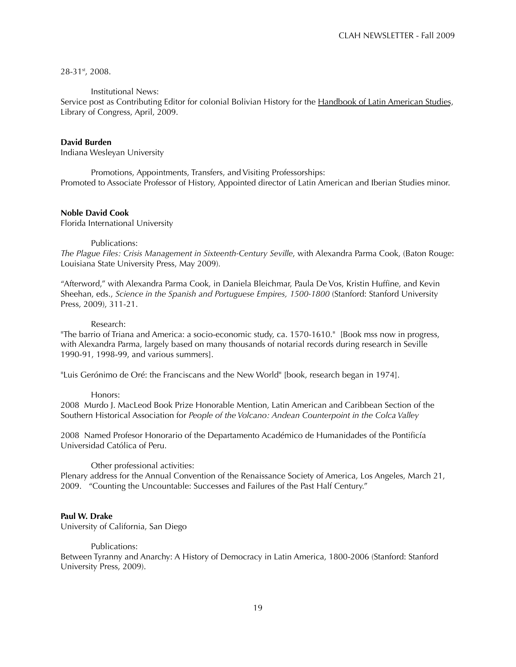28-31st, 2008.

### Institutional News:

Service post as Contributing Editor for colonial Bolivian History for the Handbook of Latin American Studies, Library of Congress, April, 2009.

### **David Burden**

Indiana Wesleyan University

Promotions, Appointments, Transfers, and Visiting Professorships: Promoted to Associate Professor of History, Appointed director of Latin American and Iberian Studies minor.

## **Noble David Cook**

Florida International University

#### Publications:

*The Plague Files: Crisis Management in Sixteenth-Century Seville*, with Alexandra Parma Cook, (Baton Rouge: Louisiana State University Press, May 2009)*.*

"Afterword," with Alexandra Parma Cook, in Daniela Bleichmar, Paula De Vos, Kristin Huffine, and Kevin Sheehan, eds., *Science in the Spanish and Portuguese Empires, 1500-1800* (Stanford: Stanford University Press, 2009), 311-21.

#### Research:

"The barrio of Triana and America: a socio-economic study, ca. 1570-1610." [Book mss now in progress, with Alexandra Parma, largely based on many thousands of notarial records during research in Seville 1990-91, 1998-99, and various summers].

"Luis Gerónimo de Oré: the Franciscans and the New World" [book, research began in 1974].

#### Honors:

2008 Murdo J. MacLeod Book Prize Honorable Mention, Latin American and Caribbean Section of the Southern Historical Association for *People of the Volcano: Andean Counterpoint in the Colca Valley*

2008 Named Profesor Honorario of the Departamento Académico de Humanidades of the Pontificía Universidad Católica of Peru.

#### Other professional activities:

Plenary address for the Annual Convention of the Renaissance Society of America, Los Angeles, March 21, 2009. "Counting the Uncountable: Successes and Failures of the Past Half Century."

#### **Paul W. Drake**

University of California, San Diego

#### Publications:

Between Tyranny and Anarchy: A History of Democracy in Latin America, 1800-2006 (Stanford: Stanford University Press, 2009).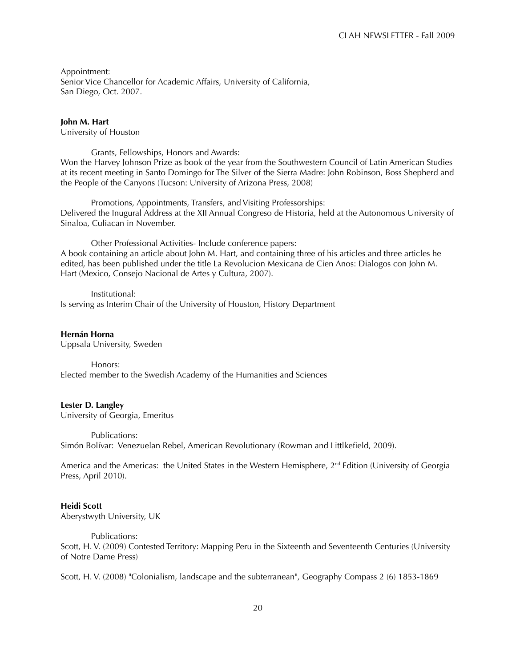Appointment: Senior Vice Chancellor for Academic Affairs, University of California, San Diego, Oct. 2007.

### **John M. Hart**

University of Houston

Grants, Fellowships, Honors and Awards: Won the Harvey Johnson Prize as book of the year from the Southwestern Council of Latin American Studies at its recent meeting in Santo Domingo for The Silver of the Sierra Madre: John Robinson, Boss Shepherd and the People of the Canyons (Tucson: University of Arizona Press, 2008)

Promotions, Appointments, Transfers, and Visiting Professorships: Delivered the Inugural Address at the XII Annual Congreso de Historia, held at the Autonomous University of Sinaloa, Culiacan in November.

Other Professional Activities- Include conference papers: A book containing an article about John M. Hart, and containing three of his articles and three articles he edited, has been published under the title La Revolucion Mexicana de Cien Anos: Dialogos con John M. Hart (Mexico, Consejo Nacional de Artes y Cultura, 2007).

Institutional: Is serving as Interim Chair of the University of Houston, History Department

**Hernán Horna**

Uppsala University, Sweden

Honors: Elected member to the Swedish Academy of the Humanities and Sciences

# **Lester D. Langley**

University of Georgia, Emeritus

Publications: Simón Bolívar: Venezuelan Rebel, American Revolutionary (Rowman and Littlkefield, 2009).

America and the Americas: the United States in the Western Hemisphere,  $2^{nd}$  Edition (University of Georgia Press, April 2010).

# **Heidi Scott**

Aberystwyth University, UK

Publications:

Scott, H. V. (2009) Contested Territory: Mapping Peru in the Sixteenth and Seventeenth Centuries (University of Notre Dame Press)

Scott, H. V. (2008) "Colonialism, landscape and the subterranean", Geography Compass 2 (6) 1853-1869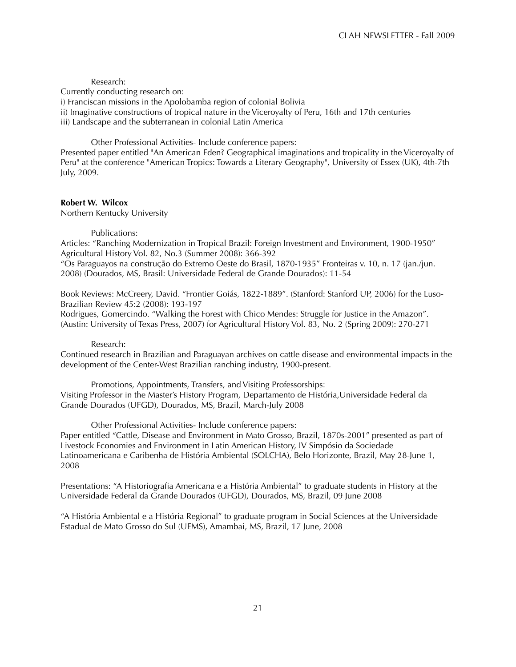#### Research:

Currently conducting research on:

i) Franciscan missions in the Apolobamba region of colonial Bolivia

ii) Imaginative constructions of tropical nature in the Viceroyalty of Peru, 16th and 17th centuries

iii) Landscape and the subterranean in colonial Latin America

Other Professional Activities- Include conference papers: Presented paper entitled "An American Eden? Geographical imaginations and tropicality in the Viceroyalty of Peru" at the conference "American Tropics: Towards a Literary Geography", University of Essex (UK), 4th-7th July, 2009.

### **Robert W. Wilcox**

Northern Kentucky University

### Publications:

Articles: "Ranching Modernization in Tropical Brazil: Foreign Investment and Environment, 1900-1950" Agricultural History Vol. 82, No.3 (Summer 2008): 366-392

"Os Paraguayos na construção do Extremo Oeste do Brasil, 1870-1935" Fronteiras v. 10, n. 17 (jan./jun. 2008) (Dourados, MS, Brasil: Universidade Federal de Grande Dourados): 11-54

Book Reviews: McCreery, David. "Frontier Goiás, 1822-1889". (Stanford: Stanford UP, 2006) for the Luso-Brazilian Review 45:2 (2008): 193-197

Rodrigues, Gomercindo. "Walking the Forest with Chico Mendes: Struggle for Justice in the Amazon". (Austin: University of Texas Press, 2007) for Agricultural History Vol. 83, No. 2 (Spring 2009): 270-271

#### Research:

Continued research in Brazilian and Paraguayan archives on cattle disease and environmental impacts in the development of the Center-West Brazilian ranching industry, 1900-present.

Promotions, Appointments, Transfers, and Visiting Professorships: Visiting Professor in the Master's History Program, Departamento de História,Universidade Federal da Grande Dourados (UFGD), Dourados, MS, Brazil, March-July 2008

Other Professional Activities- Include conference papers:

Paper entitled "Cattle, Disease and Environment in Mato Grosso, Brazil, 1870s-2001" presented as part of Livestock Economies and Environment in Latin American History, IV Simpósio da Sociedade Latinoamericana e Caribenha de História Ambiental (SOLCHA), Belo Horizonte, Brazil, May 28-June 1, 2008

Presentations: "A Historiografia Americana e a História Ambiental" to graduate students in History at the Universidade Federal da Grande Dourados (UFGD), Dourados, MS, Brazil, 09 June 2008

"A História Ambiental e a História Regional" to graduate program in Social Sciences at the Universidade Estadual de Mato Grosso do Sul (UEMS), Amambai, MS, Brazil, 17 June, 2008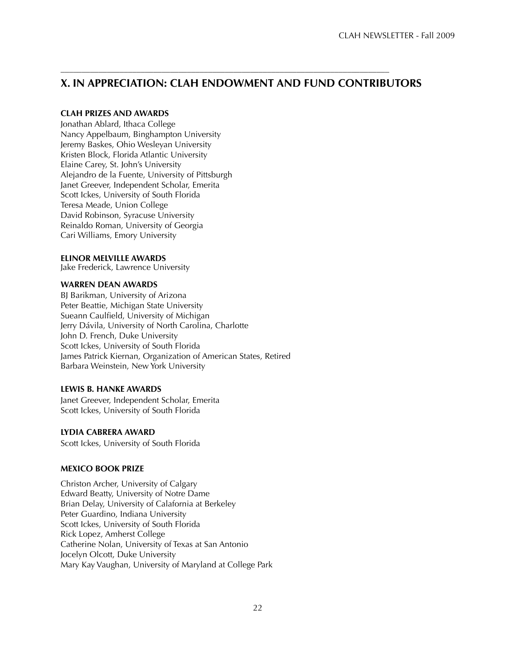# **X. IN APPRECIATION: CLAH ENDOWMENT AND FUND CONTRIBUTORS**

––––––––––––––––––––––––––––––––––––––––––––––––––––––––––––––––––––––––––––––

# **CLAH PRIZES AND AWARDS**

Jonathan Ablard, Ithaca College Nancy Appelbaum, Binghampton University Jeremy Baskes, Ohio Wesleyan University Kristen Block, Florida Atlantic University Elaine Carey, St. John's University Alejandro de la Fuente, University of Pittsburgh Janet Greever, Independent Scholar, Emerita Scott Ickes, University of South Florida Teresa Meade, Union College David Robinson, Syracuse University Reinaldo Roman, University of Georgia Cari Williams, Emory University

# **ELINOR MELVILLE AWARDS**

Jake Frederick, Lawrence University

# **WARREN DEAN AWARDS**

BJ Barikman, University of Arizona Peter Beattie, Michigan State University Sueann Caulfield, University of Michigan Jerry Dávila, University of North Carolina, Charlotte John D. French, Duke University Scott Ickes, University of South Florida James Patrick Kiernan, Organization of American States, Retired Barbara Weinstein, New York University

# **LEWIS B. HANKE AWARDS**

Janet Greever, Independent Scholar, Emerita Scott Ickes, University of South Florida

# **LYDIA CABRERA AWARD**

Scott Ickes, University of South Florida

# **MEXICO BOOK PRIZE**

Christon Archer, University of Calgary Edward Beatty, University of Notre Dame Brian Delay, University of Calafornia at Berkeley Peter Guardino, Indiana University Scott Ickes, University of South Florida Rick Lopez, Amherst College Catherine Nolan, University of Texas at San Antonio Jocelyn Olcott, Duke University Mary Kay Vaughan, University of Maryland at College Park